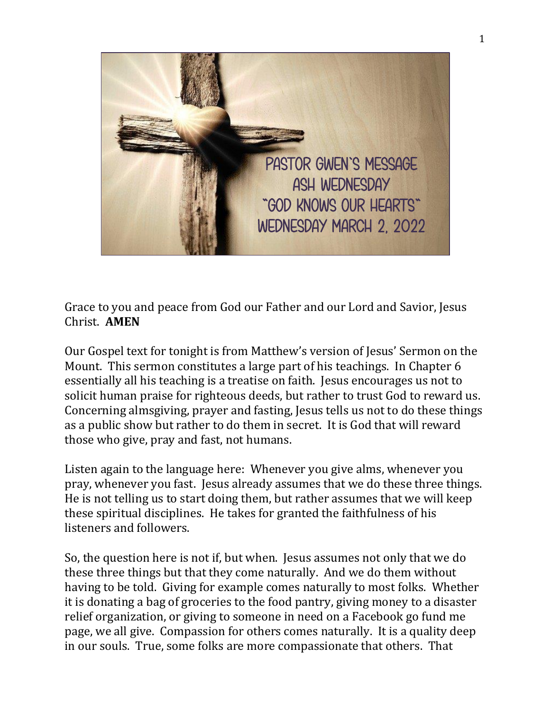

Grace to you and peace from God our Father and our Lord and Savior, Jesus Christ. **AMEN**

Our Gospel text for tonight is from Matthew's version of Jesus' Sermon on the Mount. This sermon constitutes a large part of his teachings. In Chapter 6 essentially all his teaching is a treatise on faith. Jesus encourages us not to solicit human praise for righteous deeds, but rather to trust God to reward us. Concerning almsgiving, prayer and fasting, Jesus tells us not to do these things as a public show but rather to do them in secret. It is God that will reward those who give, pray and fast, not humans.

Listen again to the language here: Whenever you give alms, whenever you pray, whenever you fast. Jesus already assumes that we do these three things. He is not telling us to start doing them, but rather assumes that we will keep these spiritual disciplines. He takes for granted the faithfulness of his listeners and followers.

So, the question here is not if, but when. Jesus assumes not only that we do these three things but that they come naturally. And we do them without having to be told. Giving for example comes naturally to most folks. Whether it is donating a bag of groceries to the food pantry, giving money to a disaster relief organization, or giving to someone in need on a Facebook go fund me page, we all give. Compassion for others comes naturally. It is a quality deep in our souls. True, some folks are more compassionate that others. That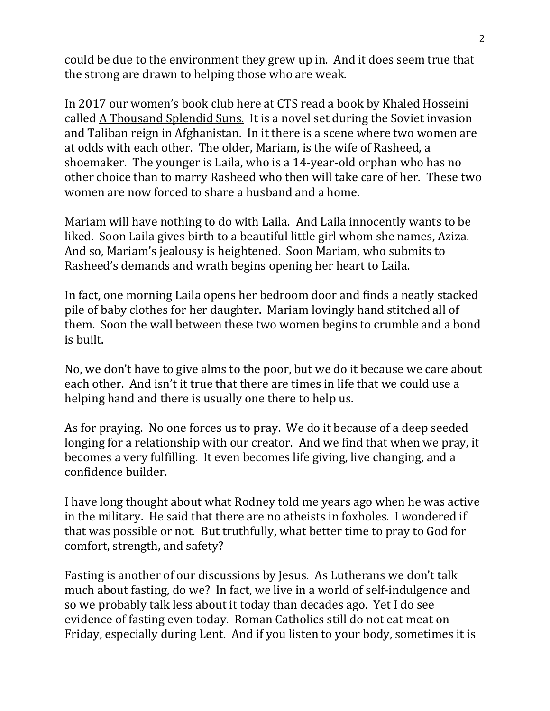could be due to the environment they grew up in. And it does seem true that the strong are drawn to helping those who are weak.

In 2017 our women's book club here at CTS read a book by Khaled Hosseini called A Thousand Splendid Suns. It is a novel set during the Soviet invasion and Taliban reign in Afghanistan. In it there is a scene where two women are at odds with each other. The older, Mariam, is the wife of Rasheed, a shoemaker. The younger is Laila, who is a 14-year-old orphan who has no other choice than to marry Rasheed who then will take care of her. These two women are now forced to share a husband and a home.

Mariam will have nothing to do with Laila. And Laila innocently wants to be liked. Soon Laila gives birth to a beautiful little girl whom she names, Aziza. And so, Mariam's jealousy is heightened. Soon Mariam, who submits to Rasheed's demands and wrath begins opening her heart to Laila.

In fact, one morning Laila opens her bedroom door and finds a neatly stacked pile of baby clothes for her daughter. Mariam lovingly hand stitched all of them. Soon the wall between these two women begins to crumble and a bond is built.

No, we don't have to give alms to the poor, but we do it because we care about each other. And isn't it true that there are times in life that we could use a helping hand and there is usually one there to help us.

As for praying. No one forces us to pray. We do it because of a deep seeded longing for a relationship with our creator. And we find that when we pray, it becomes a very fulfilling. It even becomes life giving, live changing, and a confidence builder.

I have long thought about what Rodney told me years ago when he was active in the military. He said that there are no atheists in foxholes. I wondered if that was possible or not. But truthfully, what better time to pray to God for comfort, strength, and safety?

Fasting is another of our discussions by Jesus. As Lutherans we don't talk much about fasting, do we? In fact, we live in a world of self-indulgence and so we probably talk less about it today than decades ago. Yet I do see evidence of fasting even today. Roman Catholics still do not eat meat on Friday, especially during Lent. And if you listen to your body, sometimes it is